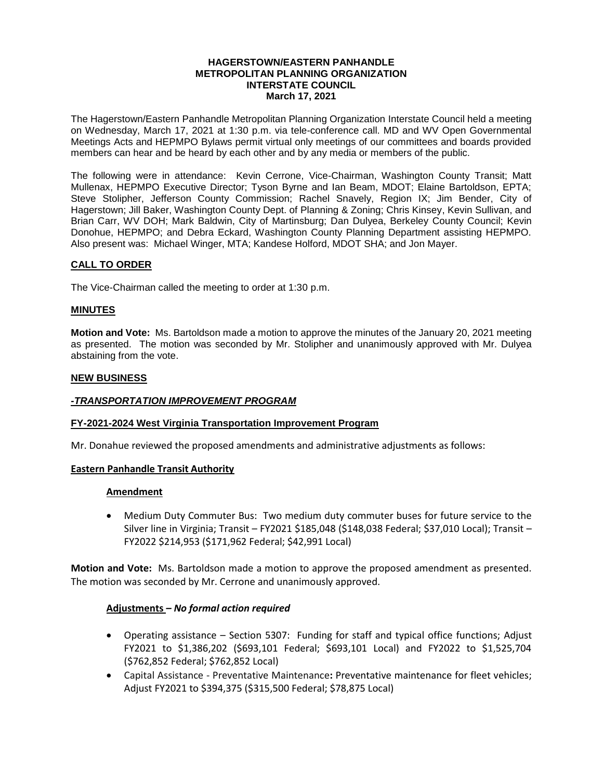#### **HAGERSTOWN/EASTERN PANHANDLE METROPOLITAN PLANNING ORGANIZATION INTERSTATE COUNCIL March 17, 2021**

The Hagerstown/Eastern Panhandle Metropolitan Planning Organization Interstate Council held a meeting on Wednesday, March 17, 2021 at 1:30 p.m. via tele-conference call. MD and WV Open Governmental Meetings Acts and HEPMPO Bylaws permit virtual only meetings of our committees and boards provided members can hear and be heard by each other and by any media or members of the public.

The following were in attendance: Kevin Cerrone, Vice-Chairman, Washington County Transit; Matt Mullenax, HEPMPO Executive Director; Tyson Byrne and Ian Beam, MDOT; Elaine Bartoldson, EPTA; Steve Stolipher, Jefferson County Commission; Rachel Snavely, Region IX; Jim Bender, City of Hagerstown; Jill Baker, Washington County Dept. of Planning & Zoning; Chris Kinsey, Kevin Sullivan, and Brian Carr, WV DOH; Mark Baldwin, City of Martinsburg; Dan Dulyea, Berkeley County Council; Kevin Donohue, HEPMPO; and Debra Eckard, Washington County Planning Department assisting HEPMPO. Also present was: Michael Winger, MTA; Kandese Holford, MDOT SHA; and Jon Mayer.

# **CALL TO ORDER**

The Vice-Chairman called the meeting to order at 1:30 p.m.

# **MINUTES**

**Motion and Vote:** Ms. Bartoldson made a motion to approve the minutes of the January 20, 2021 meeting as presented. The motion was seconded by Mr. Stolipher and unanimously approved with Mr. Dulyea abstaining from the vote.

### **NEW BUSINESS**

### *-TRANSPORTATION IMPROVEMENT PROGRAM*

### **FY-2021-2024 West Virginia Transportation Improvement Program**

Mr. Donahue reviewed the proposed amendments and administrative adjustments as follows:

### **Eastern Panhandle Transit Authority**

### **Amendment**

 Medium Duty Commuter Bus: Two medium duty commuter buses for future service to the Silver line in Virginia; Transit – FY2021 \$185,048 (\$148,038 Federal; \$37,010 Local); Transit – FY2022 \$214,953 (\$171,962 Federal; \$42,991 Local)

**Motion and Vote:** Ms. Bartoldson made a motion to approve the proposed amendment as presented. The motion was seconded by Mr. Cerrone and unanimously approved.

### **Adjustments** *– No formal action required*

- Operating assistance Section 5307: Funding for staff and typical office functions; Adjust FY2021 to \$1,386,202 (\$693,101 Federal; \$693,101 Local) and FY2022 to \$1,525,704 (\$762,852 Federal; \$762,852 Local)
- Capital Assistance Preventative Maintenance**:** Preventative maintenance for fleet vehicles; Adjust FY2021 to \$394,375 (\$315,500 Federal; \$78,875 Local)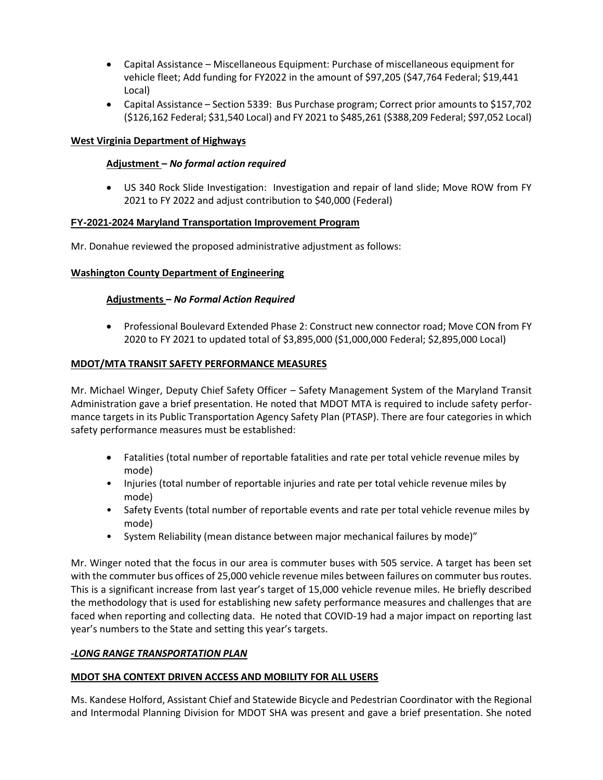- Capital Assistance Miscellaneous Equipment: Purchase of miscellaneous equipment for vehicle fleet; Add funding for FY2022 in the amount of \$97,205 (\$47,764 Federal; \$19,441 Local)
- Capital Assistance Section 5339: Bus Purchase program; Correct prior amounts to \$157,702 (\$126,162 Federal; \$31,540 Local) and FY 2021 to \$485,261 (\$388,209 Federal; \$97,052 Local)

# **West Virginia Department of Highways**

# **Adjustment –** *No formal action required*

 US 340 Rock Slide Investigation: Investigation and repair of land slide; Move ROW from FY 2021 to FY 2022 and adjust contribution to \$40,000 (Federal)

# **FY-2021-2024 Maryland Transportation Improvement Program**

Mr. Donahue reviewed the proposed administrative adjustment as follows:

# **Washington County Department of Engineering**

# **Adjustments –** *No Formal Action Required*

 Professional Boulevard Extended Phase 2: Construct new connector road; Move CON from FY 2020 to FY 2021 to updated total of \$3,895,000 (\$1,000,000 Federal; \$2,895,000 Local)

# **MDOT/MTA TRANSIT SAFETY PERFORMANCE MEASURES**

Mr. Michael Winger, Deputy Chief Safety Officer – Safety Management System of the Maryland Transit Administration gave a brief presentation. He noted that MDOT MTA is required to include safety performance targets in its Public Transportation Agency Safety Plan (PTASP). There are four categories in which safety performance measures must be established:

- Fatalities (total number of reportable fatalities and rate per total vehicle revenue miles by mode)
- Injuries (total number of reportable injuries and rate per total vehicle revenue miles by mode)
- Safety Events (total number of reportable events and rate per total vehicle revenue miles by mode)
- System Reliability (mean distance between major mechanical failures by mode)"

Mr. Winger noted that the focus in our area is commuter buses with 505 service. A target has been set with the commuter bus offices of 25,000 vehicle revenue miles between failures on commuter bus routes. This is a significant increase from last year's target of 15,000 vehicle revenue miles. He briefly described the methodology that is used for establishing new safety performance measures and challenges that are faced when reporting and collecting data. He noted that COVID-19 had a major impact on reporting last year's numbers to the State and setting this year's targets.

# *-LONG RANGE TRANSPORTATION PLAN*

# **MDOT SHA CONTEXT DRIVEN ACCESS AND MOBILITY FOR ALL USERS**

Ms. Kandese Holford, Assistant Chief and Statewide Bicycle and Pedestrian Coordinator with the Regional and Intermodal Planning Division for MDOT SHA was present and gave a brief presentation. She noted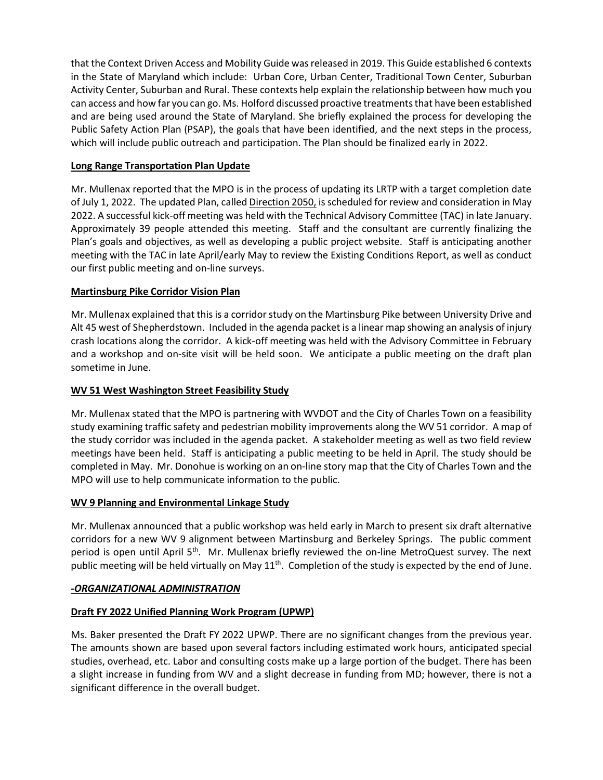that the Context Driven Access and Mobility Guide was released in 2019. This Guide established 6 contexts in the State of Maryland which include: Urban Core, Urban Center, Traditional Town Center, Suburban Activity Center, Suburban and Rural. These contexts help explain the relationship between how much you can access and how far you can go. Ms. Holford discussed proactive treatments that have been established and are being used around the State of Maryland. She briefly explained the process for developing the Public Safety Action Plan (PSAP), the goals that have been identified, and the next steps in the process, which will include public outreach and participation. The Plan should be finalized early in 2022.

# **Long Range Transportation Plan Update**

Mr. Mullenax reported that the MPO is in the process of updating its LRTP with a target completion date of July 1, 2022. The updated Plan, called Direction 2050, is scheduled for review and consideration in May 2022. A successful kick-off meeting was held with the Technical Advisory Committee (TAC) in late January. Approximately 39 people attended this meeting. Staff and the consultant are currently finalizing the Plan's goals and objectives, as well as developing a public project website. Staff is anticipating another meeting with the TAC in late April/early May to review the Existing Conditions Report, as well as conduct our first public meeting and on-line surveys.

# **Martinsburg Pike Corridor Vision Plan**

Mr. Mullenax explained that this is a corridor study on the Martinsburg Pike between University Drive and Alt 45 west of Shepherdstown. Included in the agenda packet is a linear map showing an analysis of injury crash locations along the corridor. A kick-off meeting was held with the Advisory Committee in February and a workshop and on-site visit will be held soon. We anticipate a public meeting on the draft plan sometime in June.

# **WV 51 West Washington Street Feasibility Study**

Mr. Mullenax stated that the MPO is partnering with WVDOT and the City of Charles Town on a feasibility study examining traffic safety and pedestrian mobility improvements along the WV 51 corridor. A map of the study corridor was included in the agenda packet. A stakeholder meeting as well as two field review meetings have been held. Staff is anticipating a public meeting to be held in April. The study should be completed in May. Mr. Donohue is working on an on-line story map that the City of Charles Town and the MPO will use to help communicate information to the public.

# **WV 9 Planning and Environmental Linkage Study**

Mr. Mullenax announced that a public workshop was held early in March to present six draft alternative corridors for a new WV 9 alignment between Martinsburg and Berkeley Springs. The public comment period is open until April 5<sup>th</sup>. Mr. Mullenax briefly reviewed the on-line MetroQuest survey. The next public meeting will be held virtually on May 11<sup>th</sup>. Completion of the study is expected by the end of June.

# *-ORGANIZATIONAL ADMINISTRATION*

# **Draft FY 2022 Unified Planning Work Program (UPWP)**

Ms. Baker presented the Draft FY 2022 UPWP. There are no significant changes from the previous year. The amounts shown are based upon several factors including estimated work hours, anticipated special studies, overhead, etc. Labor and consulting costs make up a large portion of the budget. There has been a slight increase in funding from WV and a slight decrease in funding from MD; however, there is not a significant difference in the overall budget.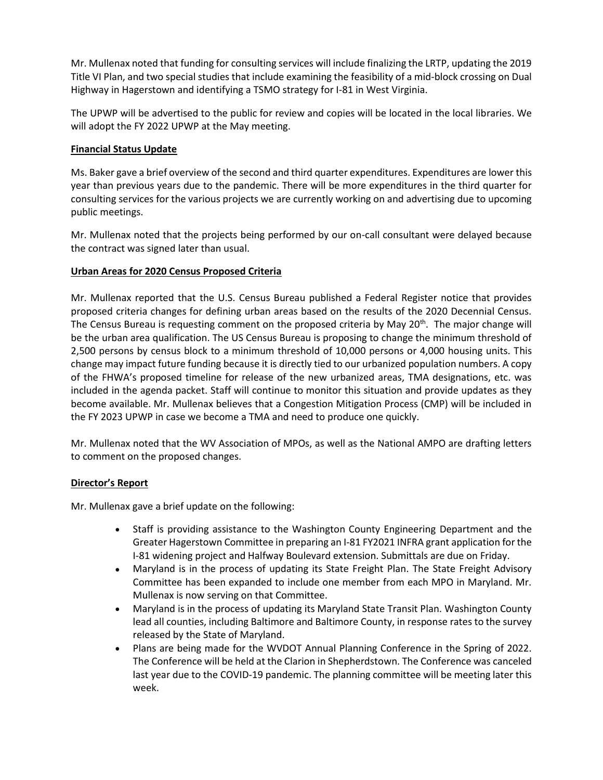Mr. Mullenax noted that funding for consulting services will include finalizing the LRTP, updating the 2019 Title VI Plan, and two special studies that include examining the feasibility of a mid-block crossing on Dual Highway in Hagerstown and identifying a TSMO strategy for I-81 in West Virginia.

The UPWP will be advertised to the public for review and copies will be located in the local libraries. We will adopt the FY 2022 UPWP at the May meeting.

# **Financial Status Update**

Ms. Baker gave a brief overview of the second and third quarter expenditures. Expenditures are lower this year than previous years due to the pandemic. There will be more expenditures in the third quarter for consulting services for the various projects we are currently working on and advertising due to upcoming public meetings.

Mr. Mullenax noted that the projects being performed by our on-call consultant were delayed because the contract was signed later than usual.

# **Urban Areas for 2020 Census Proposed Criteria**

Mr. Mullenax reported that the U.S. Census Bureau published a Federal Register notice that provides proposed criteria changes for defining urban areas based on the results of the 2020 Decennial Census. The Census Bureau is requesting comment on the proposed criteria by May 20<sup>th</sup>. The major change will be the urban area qualification. The US Census Bureau is proposing to change the minimum threshold of 2,500 persons by census block to a minimum threshold of 10,000 persons or 4,000 housing units. This change may impact future funding because it is directly tied to our urbanized population numbers. A copy of the FHWA's proposed timeline for release of the new urbanized areas, TMA designations, etc. was included in the agenda packet. Staff will continue to monitor this situation and provide updates as they become available. Mr. Mullenax believes that a Congestion Mitigation Process (CMP) will be included in the FY 2023 UPWP in case we become a TMA and need to produce one quickly.

Mr. Mullenax noted that the WV Association of MPOs, as well as the National AMPO are drafting letters to comment on the proposed changes.

# **Director's Report**

Mr. Mullenax gave a brief update on the following:

- Staff is providing assistance to the Washington County Engineering Department and the Greater Hagerstown Committee in preparing an I-81 FY2021 INFRA grant application for the I-81 widening project and Halfway Boulevard extension. Submittals are due on Friday.
- Maryland is in the process of updating its State Freight Plan. The State Freight Advisory Committee has been expanded to include one member from each MPO in Maryland. Mr. Mullenax is now serving on that Committee.
- Maryland is in the process of updating its Maryland State Transit Plan. Washington County lead all counties, including Baltimore and Baltimore County, in response rates to the survey released by the State of Maryland.
- Plans are being made for the WVDOT Annual Planning Conference in the Spring of 2022. The Conference will be held at the Clarion in Shepherdstown. The Conference was canceled last year due to the COVID-19 pandemic. The planning committee will be meeting later this week.